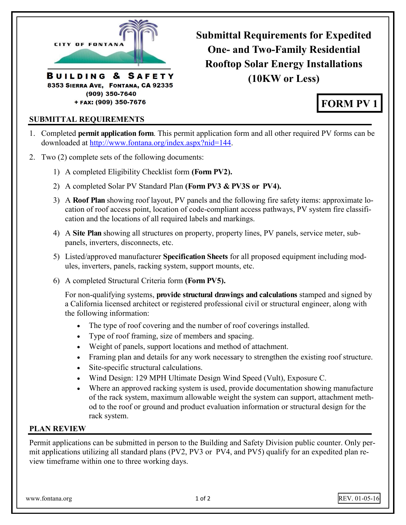<span id="page-0-0"></span>

**Submittal Requirements for Expedited One- and Two-Family Residential Rooftop Solar Energy Installations (10KW or Less)** 

# **FORM PV 1**

#### **SUBMITTAL REQUIREMENTS**

- 1. Completed **permit application form**. This permit application form and all other required PV forms can be downloaded at [http://www.fontana.org/index.aspx?nid=144.](#page-0-0)
- 2. Two (2) complete sets of the following documents:
	- 1) A completed Eligibility Checklist form **(Form PV2).**
	- 2) A completed Solar PV Standard Plan **(Form PV3 & PV3S or PV4).**
	- 3) A **Roof Plan** showing roof layout, PV panels and the following fire safety items: approximate location of roof access point, location of code-compliant access pathways, PV system fire classification and the locations of all required labels and markings.
	- 4) A **Site Plan** showing all structures on property, property lines, PV panels, service meter, subpanels, inverters, disconnects, etc.
	- 5) Listed/approved manufacturer **Specification Sheets** for all proposed equipment including modules, inverters, panels, racking system, support mounts, etc.
	- 6) A completed Structural Criteria form **(Form PV5).**

For non-qualifying systems, **provide structural drawings and calculations** stamped and signed by a California licensed architect or registered professional civil or structural engineer, along with the following information:

- The type of roof covering and the number of roof coverings installed.
- Type of roof framing, size of members and spacing.
- Weight of panels, support locations and method of attachment.
- Framing plan and details for any work necessary to strengthen the existing roof structure.
- Site-specific structural calculations.
- Wind Design: 129 MPH Ultimate Design Wind Speed (Vult), Exposure C.
- Where an approved racking system is used, provide documentation showing manufacture of the rack system, maximum allowable weight the system can support, attachment method to the roof or ground and product evaluation information or structural design for the rack system.

#### **PLAN REVIEW**

Permit applications can be submitted in person to the Building and Safety Division public counter. Only permit applications utilizing all standard plans (PV2, PV3 or PV4, and PV5) qualify for an expedited plan review timeframe within one to three working days.